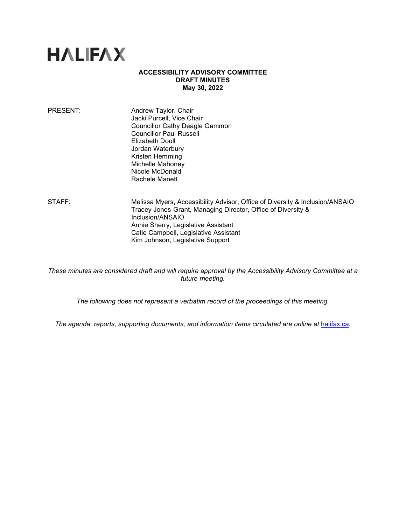# **HALIFAX**

#### **ACCESSIBILITY ADVISORY COMMITTEE DRAFT MINUTES May 30, 2022**

| PRESENT: | Andrew Taylor, Chair                  |
|----------|---------------------------------------|
|          | Jacki Purcell, Vice Chair             |
|          | <b>Councillor Cathy Deagle Gammon</b> |
|          | <b>Councillor Paul Russell</b>        |
|          | <b>Elizabeth Doull</b>                |
|          | Jordan Waterbury                      |
|          | Kristen Hemming                       |
|          | Michelle Mahoney                      |
|          | Nicole McDonald                       |
|          | Rachele Manett                        |
|          |                                       |

STAFF: Melissa Myers, Accessibility Advisor, Office of Diversity & Inclusion/ANSAIO Tracey Jones-Grant, Managing Director, Office of Diversity & Inclusion/ANSAIO Annie Sherry, Legislative Assistant Catie Campbell, Legislative Assistant Kim Johnson, Legislative Support

*These minutes are considered draft and will require approval by the Accessibility Advisory Committee at a future meeting.* 

*The following does not represent a verbatim record of the proceedings of this meeting.*

The agenda, reports, supporting documents, and information items circulated are online at **[halifax.ca](http://www.halifax.ca/).**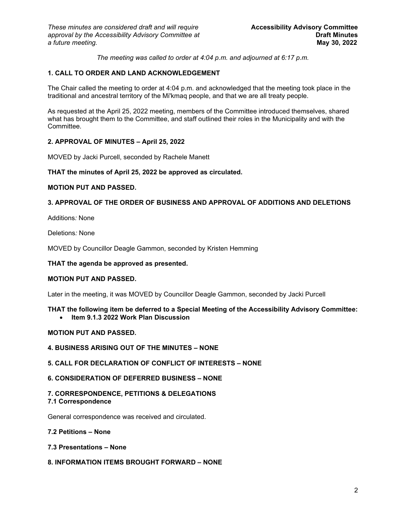*The meeting was called to order at 4:04 p.m. and adjourned at 6:17 p.m.*

# **1. CALL TO ORDER AND LAND ACKNOWLEDGEMENT**

The Chair called the meeting to order at 4:04 p.m. and acknowledged that the meeting took place in the traditional and ancestral territory of the Mi'kmaq people, and that we are all treaty people.

As requested at the April 25, 2022 meeting, members of the Committee introduced themselves, shared what has brought them to the Committee, and staff outlined their roles in the Municipality and with the Committee.

# **2. APPROVAL OF MINUTES – April 25, 2022**

MOVED by Jacki Purcell, seconded by Rachele Manett

# **THAT the minutes of April 25, 2022 be approved as circulated.**

# **MOTION PUT AND PASSED.**

# **3. APPROVAL OF THE ORDER OF BUSINESS AND APPROVAL OF ADDITIONS AND DELETIONS**

Additions*:* None

Deletions*:* None

MOVED by Councillor Deagle Gammon, seconded by Kristen Hemming

**THAT the agenda be approved as presented.** 

# **MOTION PUT AND PASSED.**

Later in the meeting, it was MOVED by Councillor Deagle Gammon, seconded by Jacki Purcell

# **THAT the following item be deferred to a Special Meeting of the Accessibility Advisory Committee:**

• **Item 9.1.3 2022 Work Plan Discussion**

# **MOTION PUT AND PASSED.**

**4. BUSINESS ARISING OUT OF THE MINUTES – NONE**

# **5. CALL FOR DECLARATION OF CONFLICT OF INTERESTS – NONE**

# **6. CONSIDERATION OF DEFERRED BUSINESS – NONE**

# **7. CORRESPONDENCE, PETITIONS & DELEGATIONS**

# **7.1 Correspondence**

General correspondence was received and circulated.

#### **7.2 Petitions – None**

#### **7.3 Presentations – None**

# **8. INFORMATION ITEMS BROUGHT FORWARD – NONE**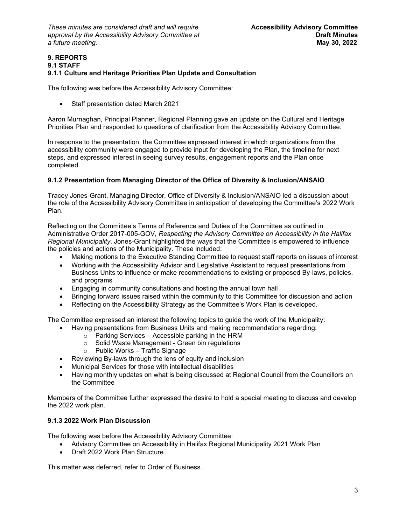*These minutes are considered draft and will require* **Accessibility Advisory Committee** *approval by the Accessibility Advisory Committee at* **Draft Minutes**   $a$  *future meeting.* 

#### **9. REPORTS 9.1 STAFF 9.1.1 Culture and Heritage Priorities Plan Update and Consultation**

The following was before the Accessibility Advisory Committee:

• Staff presentation dated March 2021

Aaron Murnaghan, Principal Planner, Regional Planning gave an update on the Cultural and Heritage Priorities Plan and responded to questions of clarification from the Accessibility Advisory Committee.

In response to the presentation, the Committee expressed interest in which organizations from the accessibility community were engaged to provide input for developing the Plan, the timeline for next steps, and expressed interest in seeing survey results, engagement reports and the Plan once completed.

# **9.1.2 Presentation from Managing Director of the Office of Diversity & Inclusion/ANSAIO**

Tracey Jones-Grant, Managing Director, Office of Diversity & Inclusion/ANSAIO led a discussion about the role of the Accessibility Advisory Committee in anticipation of developing the Committee's 2022 Work Plan.

Reflecting on the Committee's Terms of Reference and Duties of the Committee as outlined in Administrative Order 2017-005-GOV, *Respecting the Advisory Committee on Accessibility in the Halifax Regional Municipality*, Jones-Grant highlighted the ways that the Committee is empowered to influence the policies and actions of the Municipality. These included:

- Making motions to the Executive Standing Committee to request staff reports on issues of interest
- Working with the Accessibility Advisor and Legislative Assistant to request presentations from Business Units to influence or make recommendations to existing or proposed By-laws, policies, and programs
- Engaging in community consultations and hosting the annual town hall
- Bringing forward issues raised within the community to this Committee for discussion and action
- Reflecting on the Accessibility Strategy as the Committee's Work Plan is developed.

The Committee expressed an interest the following topics to guide the work of the Municipality:

- Having presentations from Business Units and making recommendations regarding:
	- $\circ$  Parking Services Accessible parking in the HRM
		- o Solid Waste Management Green bin regulations
	- o Public Works Traffic Signage
- Reviewing By-laws through the lens of equity and inclusion
- Municipal Services for those with intellectual disabilities
- Having monthly updates on what is being discussed at Regional Council from the Councillors on the Committee

Members of the Committee further expressed the desire to hold a special meeting to discuss and develop the 2022 work plan.

# **9.1.3 2022 Work Plan Discussion**

The following was before the Accessibility Advisory Committee:

- Advisory Committee on Accessibility in Halifax Regional Municipality 2021 Work Plan
- Draft 2022 Work Plan Structure

This matter was deferred, refer to Order of Business.